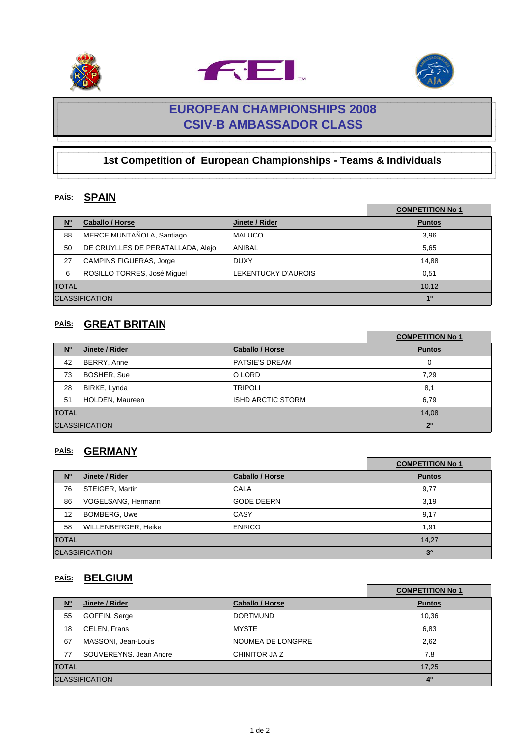





# **EUROPEAN CHAMPIONSHIPS 2008 CSIV-B AMBASSADOR CLASS**

## **1st Competition of European Championships - Teams & Individuals**

### **PAÍS: SPAIN**

|                       |                                   |                     | <b>COMPETITION No 1</b> |
|-----------------------|-----------------------------------|---------------------|-------------------------|
| $\underline{N^o}$     | Caballo / Horse                   | Jinete / Rider      | <b>Puntos</b>           |
| 88                    | MERCE MUNTAÑOLA, Santiago         | <b>MALUCO</b>       | 3,96                    |
| 50                    | DE CRUYLLES DE PERATALLADA, Alejo | <b>ANIBAL</b>       | 5,65                    |
| 27                    | <b>CAMPINS FIGUERAS, Jorge</b>    | <b>DUXY</b>         | 14.88                   |
| 6                     | ROSILLO TORRES, José Miguel       | LEKENTUCKY D'AUROIS | 0,51                    |
| <b>TOTAL</b>          |                                   |                     | 10,12                   |
| <b>CLASSIFICATION</b> |                                   |                     | 1 <sup>0</sup>          |

### **PAÍS: GREAT BRITAIN**

|                       |                 |                        | <b>COMPETITION No 1</b> |
|-----------------------|-----------------|------------------------|-------------------------|
| N <sup>o</sup>        | Jinete / Rider  | <b>Caballo / Horse</b> | <b>Puntos</b>           |
| 42                    | BERRY, Anne     | <b>PATSIE'S DREAM</b>  | 0                       |
| 73                    | BOSHER, Sue     | O LORD                 | 7,29                    |
| 28                    | BIRKE, Lynda    | <b>TRIPOLI</b>         | 8,1                     |
| 51                    | HOLDEN, Maureen | ISHD ARCTIC STORM      | 6,79                    |
| <b>TOTAL</b>          |                 |                        | 14.08                   |
| <b>CLASSIFICATION</b> |                 |                        | 2 <sup>0</sup>          |

### **PAÍS: GERMANY**

|                                       |                            |                   | <b>COMPETITION No 1</b> |
|---------------------------------------|----------------------------|-------------------|-------------------------|
| $\underline{\mathsf{N}^{\mathsf{o}}}$ | Jinete / Rider             | Caballo / Horse   | <b>Puntos</b>           |
| 76                                    | STEIGER, Martin            | <b>CALA</b>       | 9,77                    |
| 86                                    | VOGELSANG, Hermann         | <b>GODE DEERN</b> | 3,19                    |
| 12                                    | BOMBERG, Uwe               | CASY              | 9,17                    |
| 58                                    | <b>WILLENBERGER, Heike</b> | <b>ENRICO</b>     | 1,91                    |
| <b>TOTAL</b>                          |                            |                   | 14.27                   |
| <b>CLASSIFICATION</b>                 |                            |                   | 3 <sup>0</sup>          |

### **PAÍS: BELGIUM**

|                       |                        |                          | <b>COMPETITION No 1</b> |
|-----------------------|------------------------|--------------------------|-------------------------|
| $\underline{N^o}$     | Jinete / Rider         | <b>Caballo / Horse</b>   | <b>Puntos</b>           |
| 55                    | GOFFIN, Serge          | <b>DORTMUND</b>          | 10,36                   |
| 18                    | CELEN, Frans           | <b>MYSTE</b>             | 6,83                    |
| 67                    | MASSONI, Jean-Louis    | <b>NOUMEA DE LONGPRE</b> | 2,62                    |
| 77                    | SOUVEREYNS, Jean Andre | CHINITOR JA Z            | 7,8                     |
| <b>TOTAL</b>          |                        |                          | 17.25                   |
| <b>CLASSIFICATION</b> |                        |                          | 4 <sup>0</sup>          |